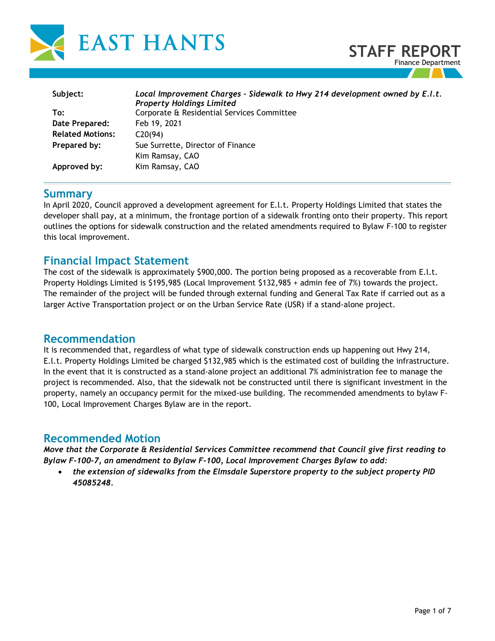

| Subject:                | Local Improvement Charges - Sidewalk to Hwy 214 development owned by E.I.t. |
|-------------------------|-----------------------------------------------------------------------------|
|                         | <b>Property Holdings Limited</b>                                            |
| To:                     | Corporate & Residential Services Committee                                  |
| Date Prepared:          | Feb 19, 2021                                                                |
| <b>Related Motions:</b> | C20(94)                                                                     |
| Prepared by:            | Sue Surrette, Director of Finance                                           |
|                         | Kim Ramsay, CAO                                                             |
| Approved by:            | Kim Ramsay, CAO                                                             |
|                         |                                                                             |

# **Summary**

In April 2020, Council approved a development agreement for E.l.t. Property Holdings Limited that states the developer shall pay, at a minimum, the frontage portion of a sidewalk fronting onto their property. This report outlines the options for sidewalk construction and the related amendments required to Bylaw F-100 to register this local improvement.

# **Financial Impact Statement**

The cost of the sidewalk is approximately \$900,000. The portion being proposed as a recoverable from E.l.t. Property Holdings Limited is \$195,985 (Local Improvement \$132,985 + admin fee of 7%) towards the project. The remainder of the project will be funded through external funding and General Tax Rate if carried out as a larger Active Transportation project or on the Urban Service Rate (USR) if a stand-alone project.

## **Recommendation**

It is recommended that, regardless of what type of sidewalk construction ends up happening out Hwy 214, E.l.t. Property Holdings Limited be charged \$132,985 which is the estimated cost of building the infrastructure. In the event that it is constructed as a stand-alone project an additional 7% administration fee to manage the project is recommended. Also, that the sidewalk not be constructed until there is significant investment in the property, namely an occupancy permit for the mixed-use building. The recommended amendments to bylaw F-100, Local Improvement Charges Bylaw are in the report.

# **Recommended Motion**

*Move that the Corporate & Residential Services Committee recommend that Council give first reading to Bylaw F-100-7, an amendment to Bylaw F-100, Local Improvement Charges Bylaw to add:*

• *the extension of sidewalks from the Elmsdale Superstore property to the subject property PID 45085248.*

**STAFF REPOR** 

Finance Department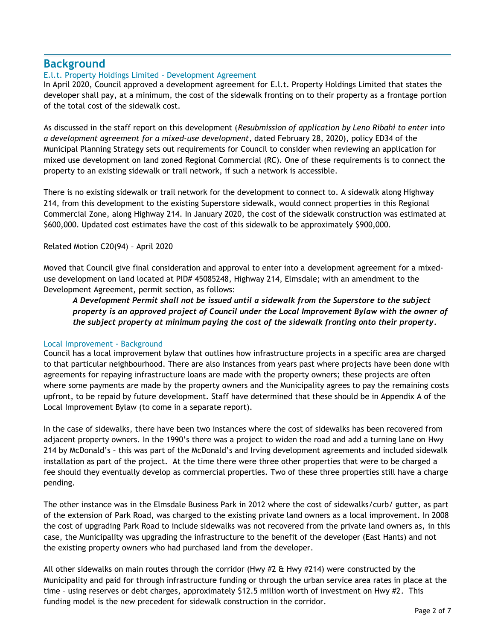# **Background**

## E.l.t. Property Holdings Limited – Development Agreement

In April 2020, Council approved a development agreement for E.l.t. Property Holdings Limited that states the developer shall pay, at a minimum, the cost of the sidewalk fronting on to their property as a frontage portion of the total cost of the sidewalk cost.

As discussed in the staff report on this development (*Resubmission of application by Leno Ribahi to enter into a development agreement for a mixed-use development*, dated February 28, 2020), policy ED34 of the Municipal Planning Strategy sets out requirements for Council to consider when reviewing an application for mixed use development on land zoned Regional Commercial (RC). One of these requirements is to connect the property to an existing sidewalk or trail network, if such a network is accessible.

There is no existing sidewalk or trail network for the development to connect to. A sidewalk along Highway 214, from this development to the existing Superstore sidewalk, would connect properties in this Regional Commercial Zone, along Highway 214. In January 2020, the cost of the sidewalk construction was estimated at \$600,000. Updated cost estimates have the cost of this sidewalk to be approximately \$900,000.

## Related Motion C20(94) – April 2020

Moved that Council give final consideration and approval to enter into a development agreement for a mixeduse development on land located at PID# 45085248, Highway 214, Elmsdale; with an amendment to the Development Agreement, permit section, as follows:

## *A Development Permit shall not be issued until a sidewalk from the Superstore to the subject property is an approved project of Council under the Local Improvement Bylaw with the owner of the subject property at minimum paying the cost of the sidewalk fronting onto their property.*

### Local Improvement - Background

Council has a local improvement bylaw that outlines how infrastructure projects in a specific area are charged to that particular neighbourhood. There are also instances from years past where projects have been done with agreements for repaying infrastructure loans are made with the property owners; these projects are often where some payments are made by the property owners and the Municipality agrees to pay the remaining costs upfront, to be repaid by future development. Staff have determined that these should be in Appendix A of the Local Improvement Bylaw (to come in a separate report).

In the case of sidewalks, there have been two instances where the cost of sidewalks has been recovered from adjacent property owners. In the 1990's there was a project to widen the road and add a turning lane on Hwy 214 by McDonald's – this was part of the McDonald's and Irving development agreements and included sidewalk installation as part of the project. At the time there were three other properties that were to be charged a fee should they eventually develop as commercial properties. Two of these three properties still have a charge pending.

The other instance was in the Elmsdale Business Park in 2012 where the cost of sidewalks/curb/ gutter, as part of the extension of Park Road, was charged to the existing private land owners as a local improvement. In 2008 the cost of upgrading Park Road to include sidewalks was not recovered from the private land owners as, in this case, the Municipality was upgrading the infrastructure to the benefit of the developer (East Hants) and not the existing property owners who had purchased land from the developer.

All other sidewalks on main routes through the corridor (Hwy #2 & Hwy #214) were constructed by the Municipality and paid for through infrastructure funding or through the urban service area rates in place at the time - using reserves or debt charges, approximately \$12.5 million worth of investment on Hwy #2. This funding model is the new precedent for sidewalk construction in the corridor.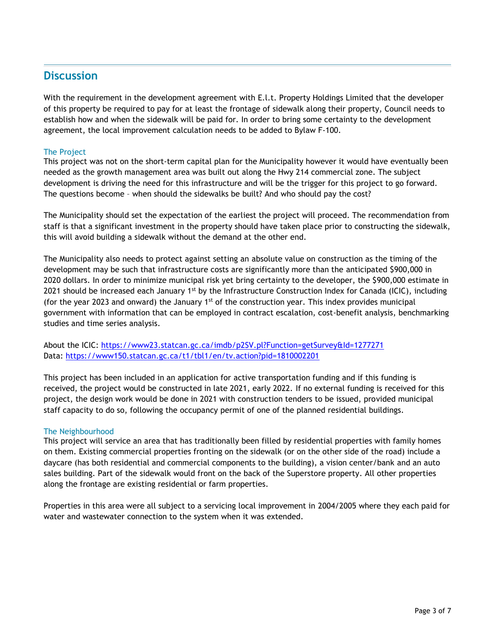# **Discussion**

With the requirement in the development agreement with E.l.t. Property Holdings Limited that the developer of this property be required to pay for at least the frontage of sidewalk along their property, Council needs to establish how and when the sidewalk will be paid for. In order to bring some certainty to the development agreement, the local improvement calculation needs to be added to Bylaw F-100.

## The Project

This project was not on the short-term capital plan for the Municipality however it would have eventually been needed as the growth management area was built out along the Hwy 214 commercial zone. The subject development is driving the need for this infrastructure and will be the trigger for this project to go forward. The questions become – when should the sidewalks be built? And who should pay the cost?

The Municipality should set the expectation of the earliest the project will proceed. The recommendation from staff is that a significant investment in the property should have taken place prior to constructing the sidewalk, this will avoid building a sidewalk without the demand at the other end.

The Municipality also needs to protect against setting an absolute value on construction as the timing of the development may be such that infrastructure costs are significantly more than the anticipated \$900,000 in 2020 dollars. In order to minimize municipal risk yet bring certainty to the developer, the \$900,000 estimate in 2021 should be increased each January  $1<sup>st</sup>$  by the Infrastructure Construction Index for Canada (ICIC), including (for the year 2023 and onward) the January 1<sup>st</sup> of the construction year. This index provides municipal government with information that can be employed in contract escalation, cost-benefit analysis, benchmarking studies and time series analysis.

About the ICIC:<https://www23.statcan.gc.ca/imdb/p2SV.pl?Function=getSurvey&Id=1277271> Data:<https://www150.statcan.gc.ca/t1/tbl1/en/tv.action?pid=1810002201>

This project has been included in an application for active transportation funding and if this funding is received, the project would be constructed in late 2021, early 2022. If no external funding is received for this project, the design work would be done in 2021 with construction tenders to be issued, provided municipal staff capacity to do so, following the occupancy permit of one of the planned residential buildings.

### The Neighbourhood

This project will service an area that has traditionally been filled by residential properties with family homes on them. Existing commercial properties fronting on the sidewalk (or on the other side of the road) include a daycare (has both residential and commercial components to the building), a vision center/bank and an auto sales building. Part of the sidewalk would front on the back of the Superstore property. All other properties along the frontage are existing residential or farm properties.

Properties in this area were all subject to a servicing local improvement in 2004/2005 where they each paid for water and wastewater connection to the system when it was extended.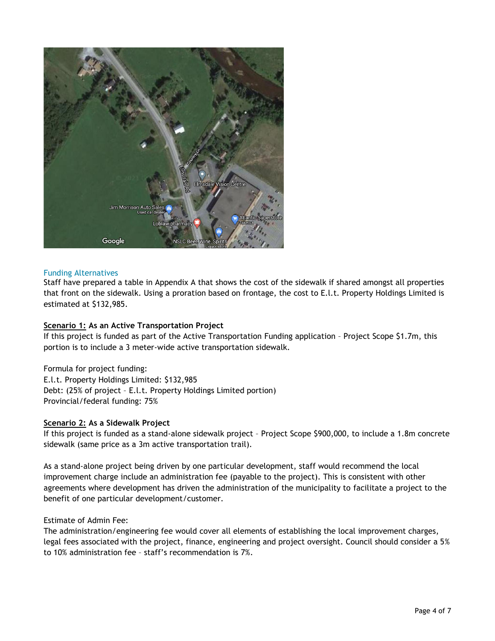

#### Funding Alternatives

Staff have prepared a table in Appendix A that shows the cost of the sidewalk if shared amongst all properties that front on the sidewalk. Using a proration based on frontage, the cost to E.l.t. Property Holdings Limited is estimated at \$132,985.

#### **Scenario 1: As an Active Transportation Project**

If this project is funded as part of the Active Transportation Funding application – Project Scope \$1.7m, this portion is to include a 3 meter-wide active transportation sidewalk.

Formula for project funding: E.l.t. Property Holdings Limited: \$132,985 Debt: (25% of project – E.l.t. Property Holdings Limited portion) Provincial/federal funding: 75%

#### **Scenario 2: As a Sidewalk Project**

If this project is funded as a stand-alone sidewalk project – Project Scope \$900,000, to include a 1.8m concrete sidewalk (same price as a 3m active transportation trail).

As a stand-alone project being driven by one particular development, staff would recommend the local improvement charge include an administration fee (payable to the project). This is consistent with other agreements where development has driven the administration of the municipality to facilitate a project to the benefit of one particular development/customer.

#### Estimate of Admin Fee:

The administration/engineering fee would cover all elements of establishing the local improvement charges, legal fees associated with the project, finance, engineering and project oversight. Council should consider a 5% to 10% administration fee – staff's recommendation is 7%.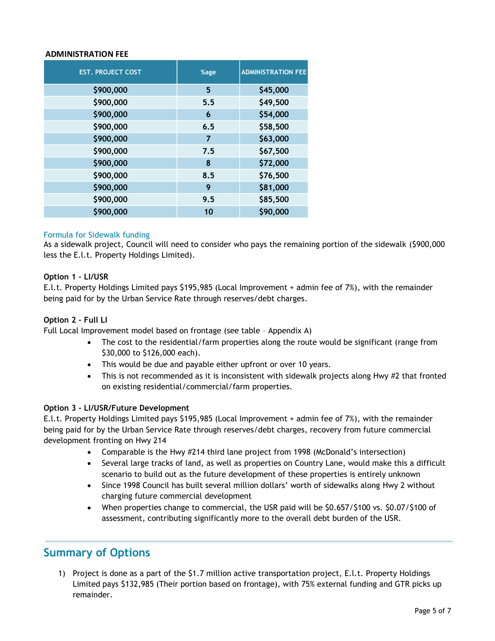#### **ADMINISTRATION FEE**

| <b>EST. PROJECT COST</b>                                                                                                                                                                                                                                                                                                                                                                                          | %age           | <b>ADMINISTRATION FEE</b> |
|-------------------------------------------------------------------------------------------------------------------------------------------------------------------------------------------------------------------------------------------------------------------------------------------------------------------------------------------------------------------------------------------------------------------|----------------|---------------------------|
| \$900,000                                                                                                                                                                                                                                                                                                                                                                                                         | 5              | \$45,000                  |
| \$900,000                                                                                                                                                                                                                                                                                                                                                                                                         | 5.5            | \$49,500                  |
| \$900,000                                                                                                                                                                                                                                                                                                                                                                                                         | 6              | \$54,000                  |
| \$900,000                                                                                                                                                                                                                                                                                                                                                                                                         | 6.5            | \$58,500                  |
| \$900,000                                                                                                                                                                                                                                                                                                                                                                                                         | $\overline{7}$ | \$63,000                  |
| \$900,000                                                                                                                                                                                                                                                                                                                                                                                                         | 7.5            | \$67,500                  |
| \$900,000                                                                                                                                                                                                                                                                                                                                                                                                         | 8              | \$72,000                  |
| \$900,000                                                                                                                                                                                                                                                                                                                                                                                                         | 8.5            | \$76,500                  |
| \$900,000                                                                                                                                                                                                                                                                                                                                                                                                         | 9              | \$81,000                  |
| \$900,000                                                                                                                                                                                                                                                                                                                                                                                                         | 9.5            | \$85,500                  |
| \$900,000                                                                                                                                                                                                                                                                                                                                                                                                         | 10             | \$90,000                  |
| Option 1 - LI/USR<br>E.l.t. Property Holdings Limited pays \$195,985 (Local Improvement + adr<br>being paid for by the Urban Service Rate through reserves/debt charges.<br>Option 2 - Full LI                                                                                                                                                                                                                    |                |                           |
| Full Local Improvement model based on frontage (see table - Appendix A<br>The cost to the residential/farm properties along the rou<br>\$30,000 to \$126,000 each).<br>This would be due and payable either upfront or over 10<br>This is not recommended as it is inconsistent with sidewa<br>on existing residential/commercial/farm properties.                                                                |                |                           |
| Option 3 - LI/USR/Future Development<br>E.l.t. Property Holdings Limited pays \$195,985 (Local Improvement + adr<br>being paid for by the Urban Service Rate through reserves/debt charges,<br>development fronting on Hwy 214                                                                                                                                                                                    |                |                           |
| Comparable is the Hwy #214 third lane project from 1998<br>Several large tracks of land, as well as properties on Cou<br>scenario to build out as the future development of these<br>Since 1998 Council has built several million dollars' wortl<br>charging future commercial development<br>When properties change to commercial, the USR paid wil<br>assessment, contributing significantly more to the overal |                |                           |
| <b>Summary of Options</b><br>Project is done as a part of the \$1.7 million active transportation<br>1)<br>Limited pays \$132,985 (Their portion based on frontage), with 75<br>remainder.                                                                                                                                                                                                                        |                |                           |

#### Formula for Sidewalk funding

As a sidewalk project, Council will need to consider who pays the remaining portion of the sidewalk (\$900,000 less the E.l.t. Property Holdings Limited).

#### **Option 1 – LI/USR**

E.l.t. Property Holdings Limited pays \$195,985 (Local Improvement + admin fee of 7%), with the remainder being paid for by the Urban Service Rate through reserves/debt charges.

#### **Option 2 – Full LI**

- The cost to the residential/farm properties along the route would be significant (range from \$30,000 to \$126,000 each).
- This would be due and payable either upfront or over 10 years.
- This is not recommended as it is inconsistent with sidewalk projects along Hwy #2 that fronted on existing residential/commercial/farm properties.

#### **Option 3 - LI/USR/Future Development**

E.l.t. Property Holdings Limited pays \$195,985 (Local Improvement + admin fee of 7%), with the remainder being paid for by the Urban Service Rate through reserves/debt charges, recovery from future commercial development fronting on Hwy 214

- Comparable is the Hwy #214 third lane project from 1998 (McDonald's intersection)
- Several large tracks of land, as well as properties on Country Lane, would make this a difficult scenario to build out as the future development of these properties is entirely unknown
- Since 1998 Council has built several million dollars' worth of sidewalks along Hwy 2 without charging future commercial development
- When properties change to commercial, the USR paid will be \$0.657/\$100 vs. \$0.07/\$100 of assessment, contributing significantly more to the overall debt burden of the USR.

# **Summary of Options**

1) Project is done as a part of the \$1.7 million active transportation project, E.l.t. Property Holdings Limited pays \$132,985 (Their portion based on frontage), with 75% external funding and GTR picks up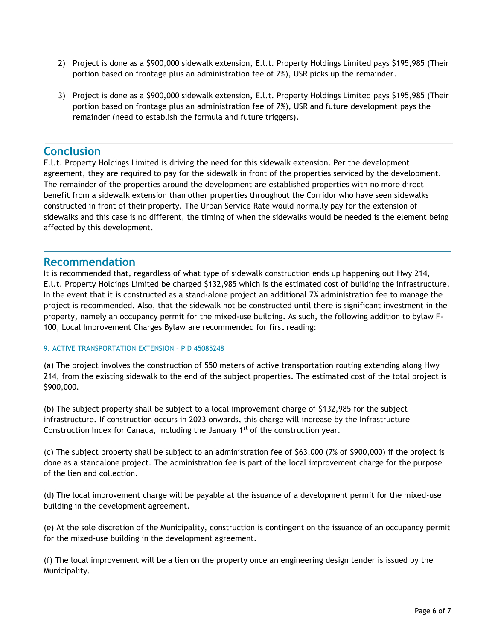- 2) Project is done as a \$900,000 sidewalk extension, E.l.t. Property Holdings Limited pays \$195,985 (Their portion based on frontage plus an administration fee of 7%), USR picks up the remainder.
- 3) Project is done as a \$900,000 sidewalk extension, E.l.t. Property Holdings Limited pays \$195,985 (Their portion based on frontage plus an administration fee of 7%), USR and future development pays the remainder (need to establish the formula and future triggers).

## **Conclusion**

E.l.t. Property Holdings Limited is driving the need for this sidewalk extension. Per the development agreement, they are required to pay for the sidewalk in front of the properties serviced by the development. The remainder of the properties around the development are established properties with no more direct benefit from a sidewalk extension than other properties throughout the Corridor who have seen sidewalks constructed in front of their property. The Urban Service Rate would normally pay for the extension of sidewalks and this case is no different, the timing of when the sidewalks would be needed is the element being affected by this development.

# **Recommendation**

It is recommended that, regardless of what type of sidewalk construction ends up happening out Hwy 214, E.l.t. Property Holdings Limited be charged \$132,985 which is the estimated cost of building the infrastructure. In the event that it is constructed as a stand-alone project an additional 7% administration fee to manage the project is recommended. Also, that the sidewalk not be constructed until there is significant investment in the property, namely an occupancy permit for the mixed-use building. As such, the following addition to bylaw F-100, Local Improvement Charges Bylaw are recommended for first reading:

### 9. ACTIVE TRANSPORTATION EXTENSION – PID 45085248

(a) The project involves the construction of 550 meters of active transportation routing extending along Hwy 214, from the existing sidewalk to the end of the subject properties. The estimated cost of the total project is \$900,000.

(b) The subject property shall be subject to a local improvement charge of \$132,985 for the subject infrastructure. If construction occurs in 2023 onwards, this charge will increase by the Infrastructure Construction Index for Canada, including the January 1<sup>st</sup> of the construction year.

(c) The subject property shall be subject to an administration fee of \$63,000 (7% of \$900,000) if the project is done as a standalone project. The administration fee is part of the local improvement charge for the purpose of the lien and collection.

(d) The local improvement charge will be payable at the issuance of a development permit for the mixed-use building in the development agreement.

(e) At the sole discretion of the Municipality, construction is contingent on the issuance of an occupancy permit for the mixed-use building in the development agreement.

(f) The local improvement will be a lien on the property once an engineering design tender is issued by the Municipality.